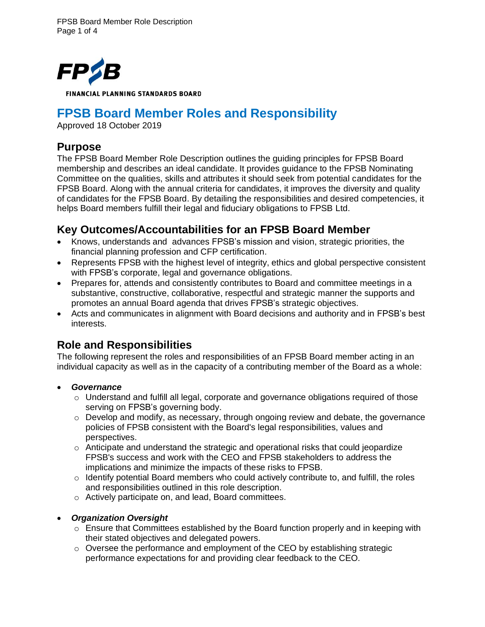

FINANCIAL PLANNING STANDARDS BOARD

# **FPSB Board Member Roles and Responsibility**

Approved 18 October 2019

### **Purpose**

The FPSB Board Member Role Description outlines the guiding principles for FPSB Board membership and describes an ideal candidate. It provides guidance to the FPSB Nominating Committee on the qualities, skills and attributes it should seek from potential candidates for the FPSB Board. Along with the annual criteria for candidates, it improves the diversity and quality of candidates for the FPSB Board. By detailing the responsibilities and desired competencies, it helps Board members fulfill their legal and fiduciary obligations to FPSB Ltd.

# **Key Outcomes/Accountabilities for an FPSB Board Member**

- Knows, understands and advances FPSB's mission and vision, strategic priorities, the financial planning profession and CFP certification.
- Represents FPSB with the highest level of integrity, ethics and global perspective consistent with FPSB's corporate, legal and governance obligations.
- Prepares for, attends and consistently contributes to Board and committee meetings in a substantive, constructive, collaborative, respectful and strategic manner the supports and promotes an annual Board agenda that drives FPSB's strategic objectives.
- Acts and communicates in alignment with Board decisions and authority and in FPSB's best interests.

# **Role and Responsibilities**

The following represent the roles and responsibilities of an FPSB Board member acting in an individual capacity as well as in the capacity of a contributing member of the Board as a whole:

- *Governance*
	- $\circ$  Understand and fulfill all legal, corporate and governance obligations required of those serving on FPSB's governing body.
	- $\circ$  Develop and modify, as necessary, through ongoing review and debate, the governance policies of FPSB consistent with the Board's legal responsibilities, values and perspectives.
	- $\circ$  Anticipate and understand the strategic and operational risks that could jeopardize FPSB's success and work with the CEO and FPSB stakeholders to address the implications and minimize the impacts of these risks to FPSB.
	- $\circ$  Identify potential Board members who could actively contribute to, and fulfill, the roles and responsibilities outlined in this role description.
	- o Actively participate on, and lead, Board committees.

### • *Organization Oversight*

- $\circ$  Ensure that Committees established by the Board function properly and in keeping with their stated objectives and delegated powers.
- $\circ$  Oversee the performance and employment of the CEO by establishing strategic performance expectations for and providing clear feedback to the CEO.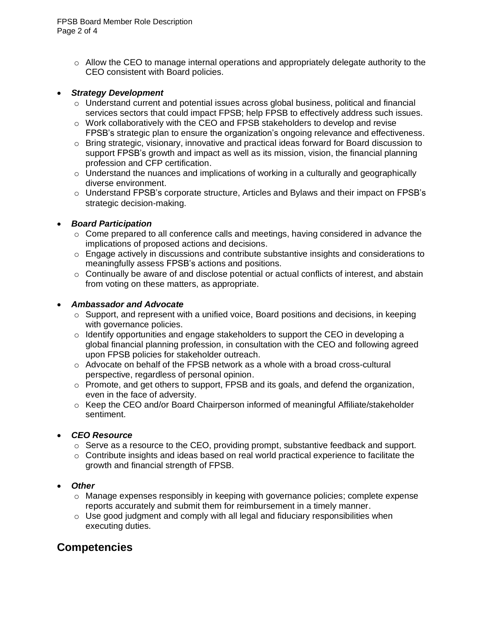$\circ$  Allow the CEO to manage internal operations and appropriately delegate authority to the CEO consistent with Board policies.

#### • *Strategy Development*

- o Understand current and potential issues across global business, political and financial services sectors that could impact FPSB; help FPSB to effectively address such issues.
- $\circ$  Work collaboratively with the CEO and FPSB stakeholders to develop and revise FPSB's strategic plan to ensure the organization's ongoing relevance and effectiveness.
- o Bring strategic, visionary, innovative and practical ideas forward for Board discussion to support FPSB's growth and impact as well as its mission, vision, the financial planning profession and CFP certification.
- $\circ$  Understand the nuances and implications of working in a culturally and geographically diverse environment.
- $\circ$  Understand FPSB's corporate structure, Articles and Bylaws and their impact on FPSB's strategic decision-making.

#### • *Board Participation*

- o Come prepared to all conference calls and meetings, having considered in advance the implications of proposed actions and decisions.
- $\circ$  Engage actively in discussions and contribute substantive insights and considerations to meaningfully assess FPSB's actions and positions.
- $\circ$  Continually be aware of and disclose potential or actual conflicts of interest, and abstain from voting on these matters, as appropriate.

#### • *Ambassador and Advocate*

- $\circ$  Support, and represent with a unified voice, Board positions and decisions, in keeping with governance policies.
- $\circ$  Identify opportunities and engage stakeholders to support the CEO in developing a global financial planning profession, in consultation with the CEO and following agreed upon FPSB policies for stakeholder outreach.
- $\circ$  Advocate on behalf of the FPSB network as a whole with a broad cross-cultural perspective, regardless of personal opinion.
- o Promote, and get others to support, FPSB and its goals, and defend the organization, even in the face of adversity.
- o Keep the CEO and/or Board Chairperson informed of meaningful Affiliate/stakeholder sentiment.

### • *CEO Resource*

- o Serve as a resource to the CEO, providing prompt, substantive feedback and support.
- $\circ$  Contribute insights and ideas based on real world practical experience to facilitate the growth and financial strength of FPSB.

### • *Other*

- o Manage expenses responsibly in keeping with governance policies; complete expense reports accurately and submit them for reimbursement in a timely manner.
- $\circ$  Use good judgment and comply with all legal and fiduciary responsibilities when executing duties.

## **Competencies**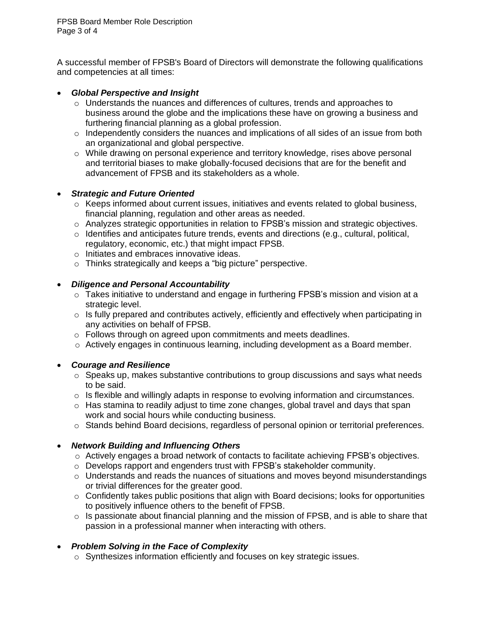A successful member of FPSB's Board of Directors will demonstrate the following qualifications and competencies at all times:

#### • *Global Perspective and Insight*

- o Understands the nuances and differences of cultures, trends and approaches to business around the globe and the implications these have on growing a business and furthering financial planning as a global profession.
- $\circ$  Independently considers the nuances and implications of all sides of an issue from both an organizational and global perspective.
- $\circ$  While drawing on personal experience and territory knowledge, rises above personal and territorial biases to make globally-focused decisions that are for the benefit and advancement of FPSB and its stakeholders as a whole.

### • *Strategic and Future Oriented*

- o Keeps informed about current issues, initiatives and events related to global business, financial planning, regulation and other areas as needed.
- o Analyzes strategic opportunities in relation to FPSB's mission and strategic objectives.
- $\circ$  Identifies and anticipates future trends, events and directions (e.g., cultural, political, regulatory, economic, etc.) that might impact FPSB.
- o Initiates and embraces innovative ideas.
- o Thinks strategically and keeps a "big picture" perspective.

### • *Diligence and Personal Accountability*

- $\circ$  Takes initiative to understand and engage in furthering FPSB's mission and vision at a strategic level.
- $\circ$  Is fully prepared and contributes actively, efficiently and effectively when participating in any activities on behalf of FPSB.
- o Follows through on agreed upon commitments and meets deadlines.
- o Actively engages in continuous learning, including development as a Board member.

### • *Courage and Resilience*

- $\circ$  Speaks up, makes substantive contributions to group discussions and says what needs to be said.
- $\circ$  Is flexible and willingly adapts in response to evolving information and circumstances.
- o Has stamina to readily adjust to time zone changes, global travel and days that span work and social hours while conducting business.
- $\circ$  Stands behind Board decisions, regardless of personal opinion or territorial preferences.

### • *Network Building and Influencing Others*

- $\circ$  Actively engages a broad network of contacts to facilitate achieving FPSB's objectives.
- $\circ$  Develops rapport and engenders trust with FPSB's stakeholder community.
- $\circ$  Understands and reads the nuances of situations and moves beyond misunderstandings or trivial differences for the greater good.
- o Confidently takes public positions that align with Board decisions; looks for opportunities to positively influence others to the benefit of FPSB.
- $\circ$  Is passionate about financial planning and the mission of FPSB, and is able to share that passion in a professional manner when interacting with others.

### • *Problem Solving in the Face of Complexity*

o Synthesizes information efficiently and focuses on key strategic issues.